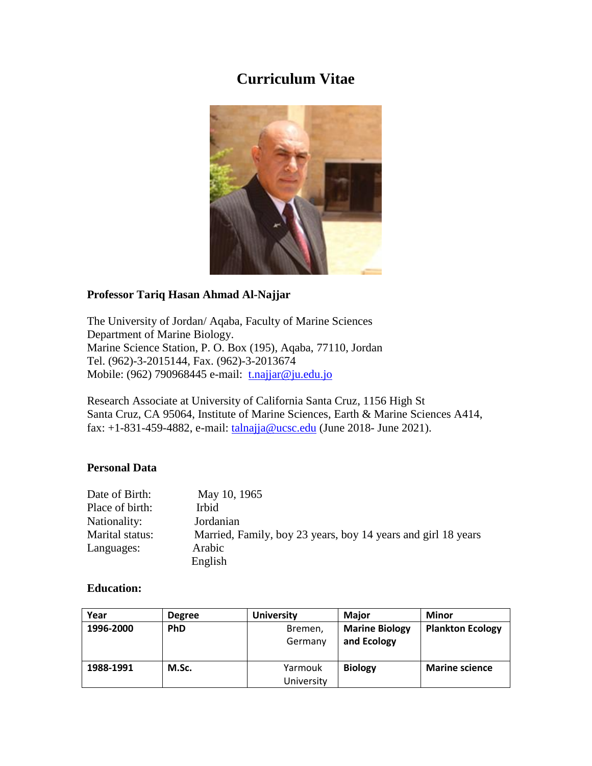## **Curriculum Vitae**



## **Professor Tariq Hasan Ahmad Al-Najjar**

The University of Jordan/ Aqaba, Faculty of Marine Sciences Department of Marine Biology. Marine Science Station, P. O. Box (195), Aqaba, 77110, Jordan Tel. (962)-3-2015144, Fax. (962)-3-2013674 Mobile: (962) 790968445 e-mail: [t.najjar@ju.edu.jo](mailto:t.najjar@ju.edu.jo)

Research Associate at University of California Santa Cruz, 1156 High St Santa Cruz, CA 95064, Institute of Marine Sciences, Earth & Marine Sciences A414, fax:  $+1-831-459-4882$ , e-mail:  $tahnajia@ucsc.edu$  (June 2018- June 2021).

#### **Personal Data**

| Date of Birth:  | May 10, 1965                                                  |
|-----------------|---------------------------------------------------------------|
| Place of birth: | Irbid                                                         |
| Nationality:    | Jordanian                                                     |
| Marital status: | Married, Family, boy 23 years, boy 14 years and girl 18 years |
| Languages:      | Arabic                                                        |
|                 | English                                                       |

#### **Education:**

| Year      | <b>Degree</b> | <b>University</b> | <b>Maior</b>          | <b>Minor</b>            |
|-----------|---------------|-------------------|-----------------------|-------------------------|
| 1996-2000 | <b>PhD</b>    | Bremen,           | <b>Marine Biology</b> | <b>Plankton Ecology</b> |
|           |               | Germany           | and Ecology           |                         |
|           |               |                   |                       |                         |
| 1988-1991 | M.Sc.         | Yarmouk           | <b>Biology</b>        | <b>Marine science</b>   |
|           |               | University        |                       |                         |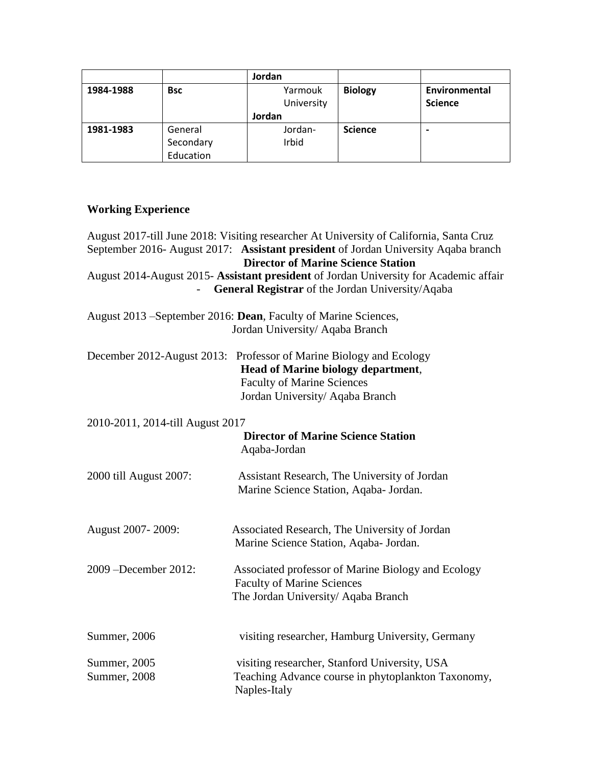|           |            | Jordan     |                |                          |
|-----------|------------|------------|----------------|--------------------------|
| 1984-1988 | <b>Bsc</b> | Yarmouk    | <b>Biology</b> | Environmental            |
|           |            | University |                | <b>Science</b>           |
|           |            | Jordan     |                |                          |
| 1981-1983 | General    | Jordan-    | <b>Science</b> | $\overline{\phantom{0}}$ |
|           | Secondary  | Irbid      |                |                          |
|           | Education  |            |                |                          |

## **Working Experience**

|                                  | August 2017-till June 2018: Visiting researcher At University of California, Santa Cruz                                                                                                 |
|----------------------------------|-----------------------------------------------------------------------------------------------------------------------------------------------------------------------------------------|
|                                  | September 2016- August 2017: Assistant president of Jordan University Aqaba branch<br><b>Director of Marine Science Station</b>                                                         |
|                                  | August 2014-August 2015- Assistant president of Jordan University for Academic affair<br>General Registrar of the Jordan University/Aqaba                                               |
|                                  | August 2013 – September 2016: Dean, Faculty of Marine Sciences,<br>Jordan University/ Aqaba Branch                                                                                      |
|                                  | December 2012-August 2013: Professor of Marine Biology and Ecology<br><b>Head of Marine biology department,</b><br><b>Faculty of Marine Sciences</b><br>Jordan University/ Aqaba Branch |
| 2010-2011, 2014-till August 2017 |                                                                                                                                                                                         |
|                                  | <b>Director of Marine Science Station</b><br>Aqaba-Jordan                                                                                                                               |
| 2000 till August 2007:           | Assistant Research, The University of Jordan<br>Marine Science Station, Aqaba- Jordan.                                                                                                  |
| August 2007-2009:                | Associated Research, The University of Jordan<br>Marine Science Station, Aqaba- Jordan.                                                                                                 |
| 2009 -December 2012:             | Associated professor of Marine Biology and Ecology<br><b>Faculty of Marine Sciences</b><br>The Jordan University/ Aqaba Branch                                                          |
| Summer, 2006                     | visiting researcher, Hamburg University, Germany                                                                                                                                        |
| Summer, 2005<br>Summer, 2008     | visiting researcher, Stanford University, USA<br>Teaching Advance course in phytoplankton Taxonomy,<br>Naples-Italy                                                                     |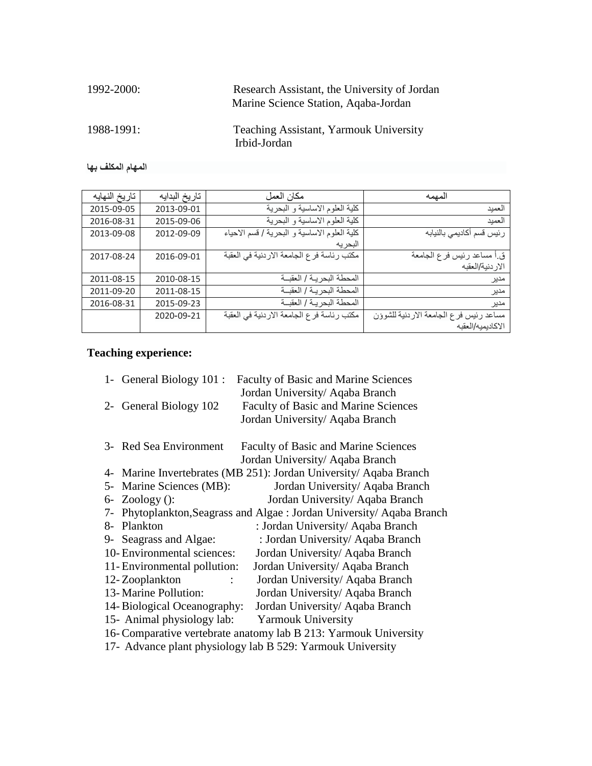| 1992-2000: | Research Assistant, the University of Jordan<br>Marine Science Station, Agaba-Jordan |
|------------|--------------------------------------------------------------------------------------|
| 1988-1991: | Teaching Assistant, Yarmouk University<br>Irbid-Jordan                               |

**المهام المكلف بها**

| لمهمه                                  | مكان العمل                                   | تاريخ البدايه | تاريخ النهايه |
|----------------------------------------|----------------------------------------------|---------------|---------------|
| العميد                                 | كلية العلوم الاساسية و البحرية               | 2013-09-01    | 2015-09-05    |
| العميد                                 | كلية العلوم الاساسية و البحرية               | 2015-09-06    | 2016-08-31    |
| رئيس قسم أكاديمي بالنيابه              | كلية العلوم الاساسية و البحرية / قسم الاحياء | 2012-09-09    | 2013-09-08    |
|                                        | البحر به                                     |               |               |
| ق أ مساعد رئيس فر ع الجامعة            | مكتب رئاسة فرع الجامعة الاردنية في العقبة    | 2016-09-01    | 2017-08-24    |
| الار دنية/العقبه                       |                                              |               |               |
| مدير                                   | المحطة البحرية / العقبــة                    | 2010-08-15    | 2011-08-15    |
| مدير                                   | المحطة البحر يـة / العقبــة                  | 2011-08-15    | 2011-09-20    |
| مدير                                   | المحطة البحريـة / العقبــة                   | 2015-09-23    | 2016-08-31    |
| مساعد رئيس فرع الجامعة الاردنية للشوؤن | مكتب رئاسة فرع الجامعة الاردنية في العقبة    | 2020-09-21    |               |
| الاكاديميه/العقبه                      |                                              |               |               |

# **Teaching experience:**

| 1- General Biology 101 :      | <b>Faculty of Basic and Marine Sciences</b>                           |
|-------------------------------|-----------------------------------------------------------------------|
|                               | Jordan University/ Aqaba Branch                                       |
| 2- General Biology 102        | <b>Faculty of Basic and Marine Sciences</b>                           |
|                               | Jordan University/ Aqaba Branch                                       |
| 3- Red Sea Environment        | <b>Faculty of Basic and Marine Sciences</b>                           |
|                               |                                                                       |
|                               | Jordan University/ Aqaba Branch                                       |
|                               | 4- Marine Invertebrates (MB 251): Jordan University/ Aqaba Branch     |
| Marine Sciences (MB):<br>$5-$ | Jordan University/ Aqaba Branch                                       |
| $6-$ Zoology ():              | Jordan University/ Aqaba Branch                                       |
|                               | 7- Phytoplankton, Seagrass and Algae: Jordan University/ Aqaba Branch |
| Plankton<br>8-                | : Jordan University/ Aqaba Branch                                     |
| 9- Seagrass and Algae:        | : Jordan University/ Aqaba Branch                                     |
| 10- Environmental sciences:   | Jordan University/ Aqaba Branch                                       |
| 11- Environmental pollution:  | Jordan University/ Aqaba Branch                                       |
| 12-Zooplankton                | Jordan University/ Aqaba Branch                                       |
| 13- Marine Pollution:         | Jordan University/ Aqaba Branch                                       |
| 14- Biological Oceanography:  | Jordan University/ Aqaba Branch                                       |
| 15- Animal physiology lab:    | <b>Yarmouk University</b>                                             |
|                               | 16- Comparative vertebrate anatomy lab B 213: Yarmouk University      |
|                               | 17- Advance plant physiology lab B 529: Yarmouk University            |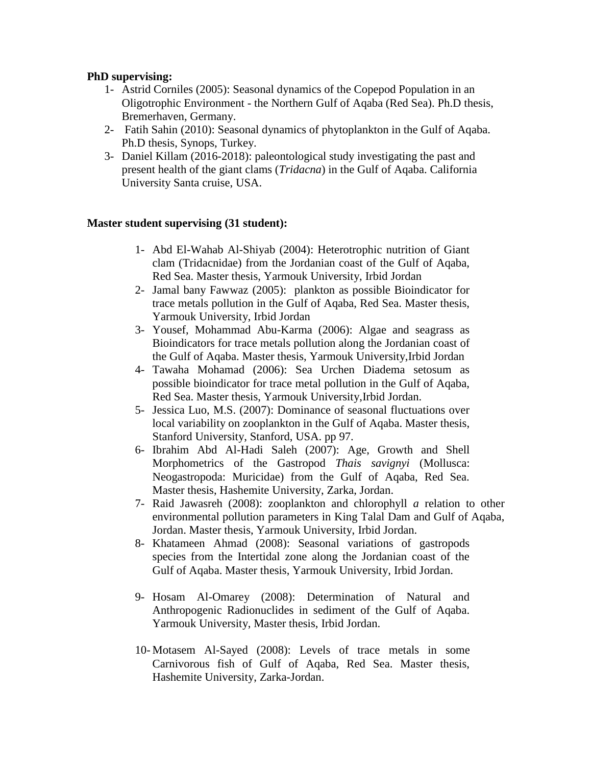## **PhD supervising:**

- 1- Astrid Corniles (2005): Seasonal dynamics of the Copepod Population in an Oligotrophic Environment - the Northern Gulf of Aqaba (Red Sea). Ph.D thesis, Bremerhaven, Germany.
- 2- Fatih Sahin (2010): Seasonal dynamics of phytoplankton in the Gulf of Aqaba. Ph.D thesis, Synops, Turkey.
- 3- Daniel Killam (2016-2018): paleontological study investigating the past and present health of the giant clams (*Tridacna*) in the Gulf of Aqaba. California University Santa cruise, USA.

## **Master student supervising (31 student):**

- 1- Abd El-Wahab Al-Shiyab (2004): Heterotrophic nutrition of Giant clam (Tridacnidae) from the Jordanian coast of the Gulf of Aqaba, Red Sea. Master thesis, Yarmouk University, Irbid Jordan
- 2- Jamal bany Fawwaz (2005): plankton as possible Bioindicator for trace metals pollution in the Gulf of Aqaba, Red Sea. Master thesis, Yarmouk University, Irbid Jordan
- 3- Yousef, Mohammad Abu-Karma (2006): Algae and seagrass as Bioindicators for trace metals pollution along the Jordanian coast of the Gulf of Aqaba. Master thesis, Yarmouk University,Irbid Jordan
- 4- Tawaha Mohamad (2006): Sea Urchen Diadema setosum as possible bioindicator for trace metal pollution in the Gulf of Aqaba, Red Sea. Master thesis, Yarmouk University,Irbid Jordan.
- 5- Jessica Luo, M.S. (2007): Dominance of seasonal fluctuations over local variability on zooplankton in the Gulf of Aqaba. Master thesis, Stanford University, Stanford, USA. pp 97.
- 6- Ibrahim Abd Al-Hadi Saleh (2007): Age, Growth and Shell Morphometrics of the Gastropod *Thais savignyi* (Mollusca: Neogastropoda: Muricidae) from the Gulf of Aqaba, Red Sea. Master thesis, Hashemite University, Zarka, Jordan.
- 7- Raid Jawasreh (2008): zooplankton and chlorophyll *a* relation to other environmental pollution parameters in King Talal Dam and Gulf of Aqaba, Jordan. Master thesis, Yarmouk University, Irbid Jordan.
- 8- Khatameen Ahmad (2008): Seasonal variations of gastropods species from the Intertidal zone along the Jordanian coast of the Gulf of Aqaba. Master thesis, Yarmouk University, Irbid Jordan.
- 9- Hosam Al-Omarey (2008): Determination of Natural and Anthropogenic Radionuclides in sediment of the Gulf of Aqaba. Yarmouk University, Master thesis, Irbid Jordan.
- 10- Motasem Al-Sayed (2008): Levels of trace metals in some Carnivorous fish of Gulf of Aqaba, Red Sea. Master thesis, Hashemite University, Zarka-Jordan.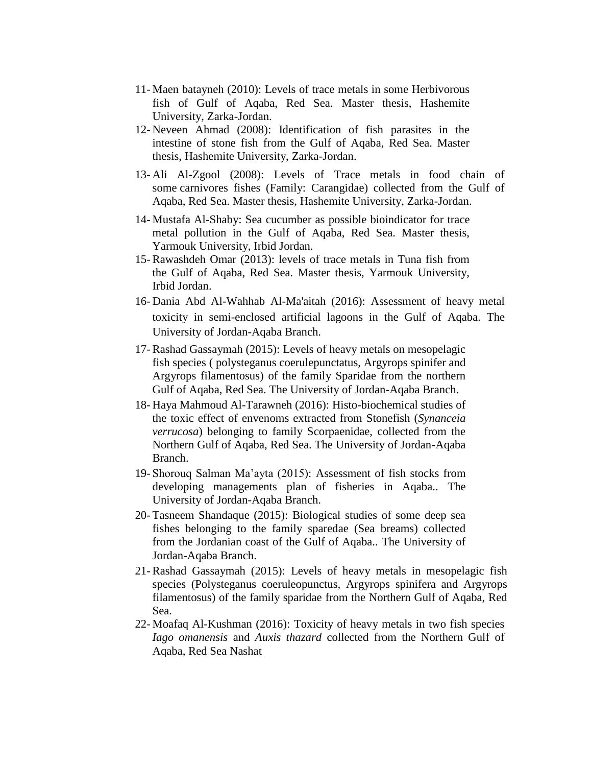- 11- Maen batayneh (2010): Levels of trace metals in some Herbivorous fish of Gulf of Aqaba, Red Sea. Master thesis, Hashemite University, Zarka-Jordan.
- 12- Neveen Ahmad (2008): Identification of fish parasites in the intestine of stone fish from the Gulf of Aqaba, Red Sea. Master thesis, Hashemite University, Zarka-Jordan.
- 13- Ali Al-Zgool (2008): Levels of Trace metals in food chain of some carnivores fishes (Family: [Carangidae\)](http://www.fishbase.com/Summary/FamilySummary.cfm?ID=314) collected from the Gulf of Aqaba, Red Sea. Master thesis, Hashemite University, Zarka-Jordan.
- 14- Mustafa Al-Shaby: Sea cucumber as possible bioindicator for trace metal pollution in the Gulf of Aqaba, Red Sea. Master thesis, Yarmouk University, Irbid Jordan.
- 15- Rawashdeh Omar (2013): levels of trace metals in Tuna fish from the Gulf of Aqaba, Red Sea. Master thesis, Yarmouk University, Irbid Jordan.
- 16- Dania Abd Al-Wahhab Al-Ma'aitah (2016): Assessment of heavy metal toxicity in semi-enclosed artificial lagoons in the Gulf of Aqaba. The University of Jordan-Aqaba Branch.
- 17- Rashad Gassaymah (2015): Levels of heavy metals on mesopelagic fish species ( polysteganus coerulepunctatus, Argyrops spinifer and Argyrops filamentosus) of the family Sparidae from the northern Gulf of Aqaba, Red Sea. The University of Jordan-Aqaba Branch.
- 18- Haya Mahmoud Al-Tarawneh (2016): Histo-biochemical studies of the toxic effect of envenoms extracted from Stonefish (*Synanceia verrucosa*) belonging to family Scorpaenidae, collected from the Northern Gulf of Aqaba, Red Sea. The University of Jordan-Aqaba Branch.
- 19- Shorouq Salman Ma'ayta (2015): Assessment of fish stocks from developing managements plan of fisheries in Aqaba.. The University of Jordan-Aqaba Branch.
- 20- Tasneem Shandaque (2015): Biological studies of some deep sea fishes belonging to the family sparedae (Sea breams) collected from the Jordanian coast of the Gulf of Aqaba.. The University of Jordan-Aqaba Branch.
- 21- Rashad Gassaymah (2015): Levels of heavy metals in mesopelagic fish species (Polysteganus coeruleopunctus, Argyrops spinifera and Argyrops filamentosus) of the family sparidae from the Northern Gulf of Aqaba, Red Sea.
- 22- Moafaq Al-Kushman (2016): Toxicity of heavy metals in two fish species *Iago omanensis* and *Auxis thazard* collected from the Northern Gulf of Aqaba, Red Sea Nashat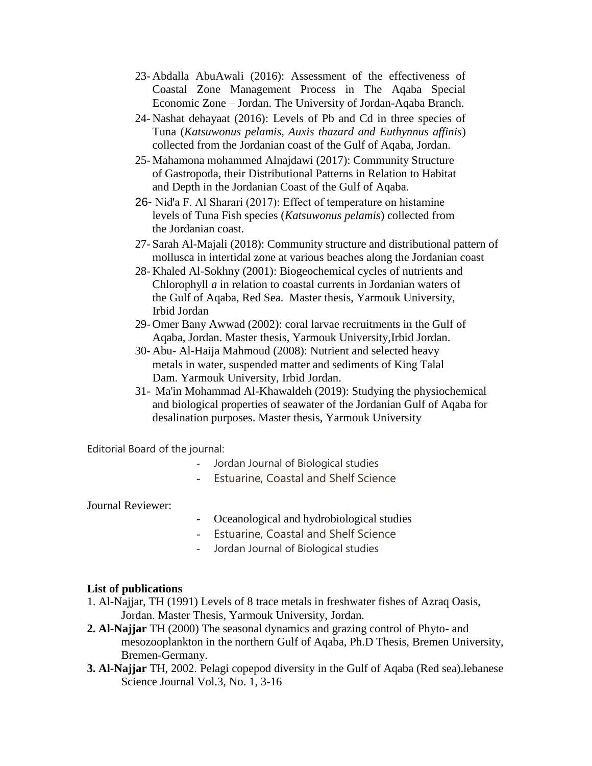- 23- Abdalla AbuAwali (2016): Assessment of the effectiveness of Coastal Zone Management Process in The Aqaba Special Economic Zone – Jordan. The University of Jordan-Aqaba Branch.
- 24- Nashat dehayaat (2016): Levels of Pb and Cd in three species of Tuna (*Katsuwonus pelamis, Auxis thazard and Euthynnus affinis*) collected from the Jordanian coast of the Gulf of Aqaba, Jordan.
- 25- Mahamona mohammed Alnajdawi (2017): Community Structure of Gastropoda, their Distributional Patterns in Relation to Habitat and Depth in the Jordanian Coast of the Gulf of Aqaba.
- 26- Nid'a F. Al Sharari (2017): Effect of temperature on histamine levels of Tuna Fish species (*Katsuwonus pelamis*) collected from the Jordanian coast.
- 27- Sarah Al-Majali (2018): Community structure and distributional pattern of mollusca in intertidal zone at various beaches along the Jordanian coast
- 28- Khaled Al-Sokhny (2001): Biogeochemical cycles of nutrients and Chlorophyll *a* in relation to coastal currents in Jordanian waters of the Gulf of Aqaba, Red Sea. Master thesis, Yarmouk University, Irbid Jordan
- 29- Omer Bany Awwad (2002): coral larvae recruitments in the Gulf of Aqaba, Jordan. Master thesis, Yarmouk University,Irbid Jordan.
- 30- Abu- Al-Haija Mahmoud (2008): Nutrient and selected heavy metals in water, suspended matter and sediments of King Talal Dam. Yarmouk University, Irbid Jordan.
- 31- Ma'in Mohammad Al-Khawaldeh (2019): Studying the physiochemical and biological properties of seawater of the Jordanian Gulf of Aqaba for desalination purposes. Master thesis, Yarmouk University

Editorial Board of the journal:

- Jordan Journal of Biological studies
- Estuarine, Coastal and Shelf Science

#### Journal Reviewer:

- Oceanological and hydrobiological studies
- Estuarine, Coastal and Shelf Science
- Jordan Journal of Biological studies

#### **List of publications**

- 1. Al-Najjar, TH (1991) Levels of 8 trace metals in freshwater fishes of Azraq Oasis, Jordan. Master Thesis, Yarmouk University, Jordan.
- **2. Al-Najjar** TH (2000) The seasonal dynamics and grazing control of Phyto- and mesozooplankton in the northern Gulf of Aqaba, Ph.D Thesis, Bremen University, Bremen-Germany.
- **3. Al-Najjar** TH, 2002. Pelagi copepod diversity in the Gulf of Aqaba (Red sea).lebanese Science Journal Vol.3, No. 1, 3-16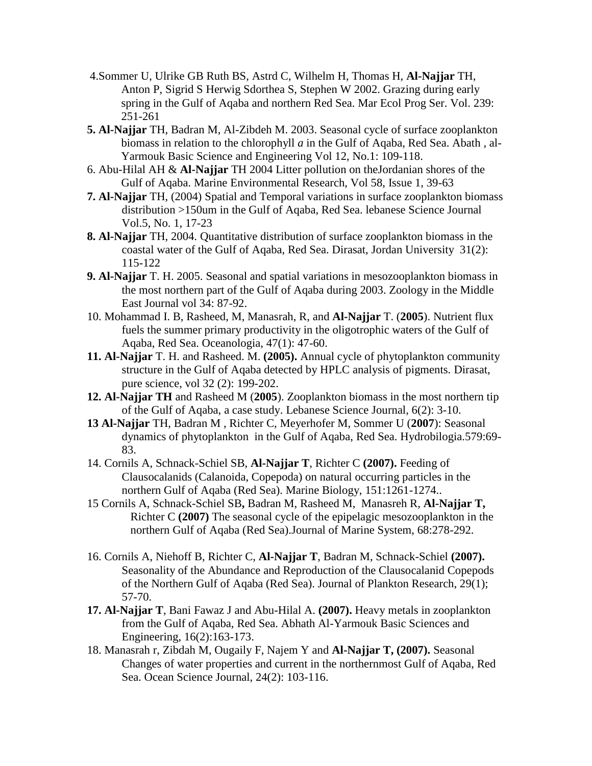- 4.Sommer U, Ulrike GB Ruth BS, Astrd C, Wilhelm H, Thomas H, **Al-Najjar** TH, Anton P, Sigrid S Herwig Sdorthea S, Stephen W 2002. Grazing during early spring in the Gulf of Aqaba and northern Red Sea. Mar Ecol Prog Ser. Vol. 239: 251-261
- **5. Al-Najjar** TH, Badran M, Al-Zibdeh M. 2003. Seasonal cycle of surface zooplankton biomass in relation to the chlorophyll *a* in the Gulf of Aqaba, Red Sea. Abath , al-Yarmouk Basic Science and Engineering Vol 12, No.1: 109-118.
- 6. Abu-Hilal AH & **Al-Najjar** TH 2004 Litter pollution on theJordanian shores of the Gulf of Aqaba. Marine Environmental Research, Vol 58, Issue 1, 39-63
- **7. Al-Najjar** TH, (2004) Spatial and Temporal variations in surface zooplankton biomass distribution >150um in the Gulf of Aqaba, Red Sea. lebanese Science Journal Vol.5, No. 1, 17-23
- **8. Al-Najjar** TH, 2004. Quantitative distribution of surface zooplankton biomass in the coastal water of the Gulf of Aqaba, Red Sea. Dirasat, Jordan University 31(2): 115-122
- **9. Al-Najjar** T. H. 2005. Seasonal and spatial variations in mesozooplankton biomass in the most northern part of the Gulf of Aqaba during 2003. Zoology in the Middle East Journal vol 34: 87-92.
- 10. Mohammad I. B, Rasheed, M, Manasrah, R, and **Al-Najjar** T. (**2005**). Nutrient flux fuels the summer primary productivity in the oligotrophic waters of the Gulf of Aqaba, Red Sea. Oceanologia, 47(1): 47-60.
- **11. Al-Najjar** T. H. and Rasheed. M. **(2005).** Annual cycle of phytoplankton community structure in the Gulf of Aqaba detected by HPLC analysis of pigments. Dirasat, pure science, vol 32 (2): 199-202.
- **12. Al-Najjar TH** and Rasheed M (**2005**). Zooplankton biomass in the most northern tip of the Gulf of Aqaba, a case study. Lebanese Science Journal, 6(2): 3-10.
- **13 Al-Najjar** TH, Badran M , Richter C, Meyerhofer M, Sommer U (**2007**): Seasonal dynamics of phytoplankton in the Gulf of Aqaba, Red Sea. Hydrobilogia.579:69- 83.
- 14. Cornils A, Schnack-Schiel SB, **Al-Najjar T**, Richter C **(2007).** Feeding of Clausocalanids (Calanoida, Copepoda) on natural occurring particles in the northern Gulf of Aqaba (Red Sea). Marine Biology, 151:1261-1274..
- 15 Cornils A, Schnack-Schiel SB**,** Badran M, Rasheed M, Manasreh R, **Al-Najjar T,**  Richter C **(2007)** The seasonal cycle of the epipelagic mesozooplankton in the northern Gulf of Aqaba (Red Sea).Journal of Marine System, 68:278-292.
- 16. Cornils A, Niehoff B, Richter C, **Al-Najjar T**, Badran M, Schnack-Schiel **(2007).** Seasonality of the Abundance and Reproduction of the Clausocalanid Copepods of the Northern Gulf of Aqaba (Red Sea). Journal of Plankton Research, 29(1); 57-70.
- **17. Al-Najjar T**, Bani Fawaz J and Abu-Hilal A. **(2007).** Heavy metals in zooplankton from the Gulf of Aqaba, Red Sea. Abhath Al-Yarmouk Basic Sciences and Engineering, 16(2):163-173.
- 18. Manasrah r, Zibdah M, Ougaily F, Najem Y and **Al-Najjar T, (2007).** Seasonal Changes of water properties and current in the northernmost Gulf of Aqaba, Red Sea. Ocean Science Journal, 24(2): 103-116.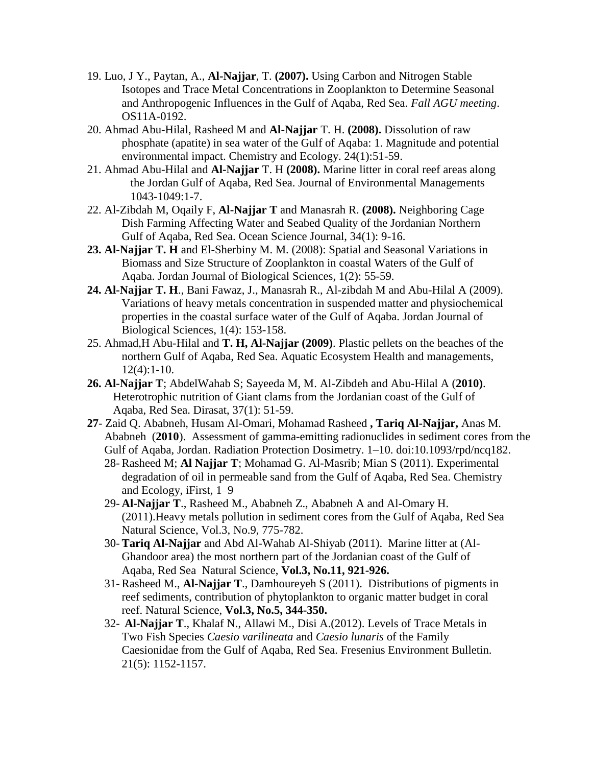- 19. Luo, J Y., Paytan, A., **Al-Najjar**, T. **(2007).** Using Carbon and Nitrogen Stable Isotopes and Trace Metal Concentrations in Zooplankton to Determine Seasonal and Anthropogenic Influences in the Gulf of Aqaba, Red Sea. *Fall AGU meeting*. OS11A-0192.
- 20. Ahmad Abu-Hilal, Rasheed M and **Al-Najjar** T. H. **(2008).** Dissolution of raw phosphate (apatite) in sea water of the Gulf of Aqaba: 1. Magnitude and potential environmental impact. Chemistry and Ecology. 24(1):51-59.
- 21. Ahmad Abu-Hilal and **Al-Najjar** T. H **(2008).** Marine litter in coral reef areas along the Jordan Gulf of Aqaba, Red Sea. Journal of Environmental Managements 1043-1049:1-7.
- 22. Al-Zibdah M, Oqaily F, **Al-Najjar T** and Manasrah R. **(2008).** Neighboring Cage Dish Farming Affecting Water and Seabed Quality of the Jordanian Northern Gulf of Aqaba, Red Sea. Ocean Science Journal, 34(1): 9-16.
- **23. Al-Najjar T. H** and El-Sherbiny M. M. (2008): Spatial and Seasonal Variations in Biomass and Size Structure of Zooplankton in coastal Waters of the Gulf of Aqaba. Jordan Journal of Biological Sciences, 1(2): 55-59.
- **24. Al-Najjar T. H**., Bani Fawaz, J., Manasrah R., Al-zibdah M and Abu-Hilal A (2009). Variations of heavy metals concentration in suspended matter and physiochemical properties in the coastal surface water of the Gulf of Aqaba. Jordan Journal of Biological Sciences, 1(4): 153-158.
- 25. Ahmad,H Abu-Hilal and **T. H, Al-Najjar (2009)**. Plastic pellets on the beaches of the northern Gulf of Aqaba, Red Sea. Aquatic Ecosystem Health and managements, 12(4):1-10.
- **26. Al-Najjar T**; AbdelWahab S; Sayeeda M, M. Al-Zibdeh and Abu-Hilal A (**2010)**. Heterotrophic nutrition of Giant clams from the Jordanian coast of the Gulf of Aqaba, Red Sea. Dirasat, 37(1): 51-59.
- **27** Zaid Q. Ababneh, Husam Al-Omari, Mohamad Rasheed **, Tariq Al-Najjar,** Anas M. Ababneh (**2010**). Assessment of gamma-emitting radionuclides in sediment cores from the Gulf of Aqaba, Jordan. Radiation Protection Dosimetry. 1–10. doi:10.1093/rpd/ncq182.
	- 28- Rasheed M; **Al Najjar T**; Mohamad G. Al-Masrib; Mian S (2011). Experimental degradation of oil in permeable sand from the Gulf of Aqaba, Red Sea. Chemistry and Ecology, iFirst, 1–9
	- 29- **Al-Najjar T**., Rasheed M., Ababneh Z., Ababneh A and Al-Omary H. (2011).Heavy metals pollution in sediment cores from the Gulf of Aqaba, Red Sea Natural Science, Vol.3, No.9, 775-782.
	- 30- **Tariq Al-Najjar** and Abd Al-Wahab Al-Shiyab (2011). Marine litter at (Al-Ghandoor area) the most northern part of the Jordanian coast of the Gulf of Aqaba, Red Sea Natural Science, **Vol.3, No.11, 921-926.**
	- 31- Rasheed M., **Al-Najjar T**., Damhoureyeh S (2011). Distributions of pigments in reef sediments, contribution of phytoplankton to organic matter budget in coral reef. Natural Science, **Vol.3, No.5, 344-350.**
	- 32- **Al-Najjar T**., Khalaf N., Allawi M., Disi A.(2012). Levels of Trace Metals in Two Fish Species *Caesio varilineata* and *Caesio lunaris* of the Family Caesionidae from the Gulf of Aqaba, Red Sea. Fresenius Environment Bulletin. 21(5): 1152-1157.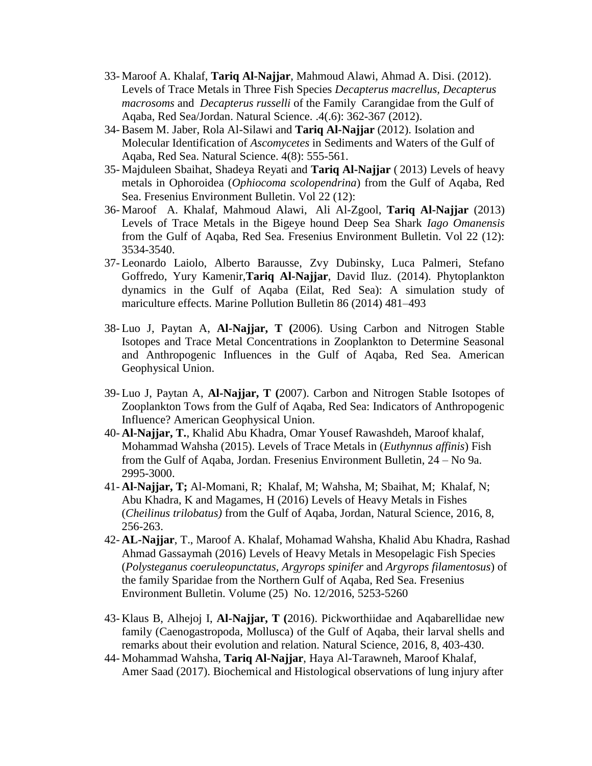- 33- Maroof A. Khalaf, **Tariq Al-Najjar**, Mahmoud Alawi, Ahmad A. Disi. (2012). Levels of Trace Metals in Three Fish Species *Decapterus macrellus, Decapterus macrosoms* and *Decapterus russelli* of the Family Carangidae from the Gulf of Aqaba, Red Sea/Jordan. Natural Science. .4(.6): 362-367 (2012).
- 34- Basem M. Jaber, Rola Al-Silawi and **Tariq Al-Najjar** (2012). Isolation and Molecular Identification of *Ascomycetes* in Sediments and Waters of the Gulf of Aqaba, Red Sea. Natural Science. 4(8): 555-561.
- 35- Majduleen Sbaihat, Shadeya Reyati and **Tariq Al-Najjar** ( 2013) Levels of heavy metals in Ophoroidea (*Ophiocoma scolopendrina*) from the Gulf of Aqaba, Red Sea. Fresenius Environment Bulletin. Vol 22 (12):
- 36- Maroof A. Khalaf, Mahmoud Alawi, Ali Al-Zgool, **Tariq Al-Najjar** (2013) Levels of Trace Metals in the Bigeye hound Deep Sea Shark *Iago Omanensis* from the Gulf of Aqaba, Red Sea. Fresenius Environment Bulletin. Vol 22 (12): 3534-3540.
- 37- Leonardo Laiolo, Alberto Barausse, Zvy Dubinsky, Luca Palmeri, Stefano Goffredo, Yury Kamenir,**Tariq Al-Najjar**, David Iluz. (2014). Phytoplankton dynamics in the Gulf of Aqaba (Eilat, Red Sea): A simulation study of mariculture effects. Marine Pollution Bulletin 86 (2014) 481–493
- 38- Luo J, Paytan A, **Al-Najjar, T (**2006). Using Carbon and Nitrogen Stable Isotopes and Trace Metal Concentrations in Zooplankton to Determine Seasonal and Anthropogenic Influences in the Gulf of Aqaba, Red Sea. American Geophysical Union.
- 39- Luo J, Paytan A, **Al-Najjar, T (**2007). Carbon and Nitrogen Stable Isotopes of Zooplankton Tows from the Gulf of Aqaba, Red Sea: Indicators of Anthropogenic Influence? American Geophysical Union.
- 40- **Al-Najjar, T.**, Khalid Abu Khadra, Omar Yousef Rawashdeh, Maroof khalaf, Mohammad Wahsha (2015). Levels of Trace Metals in (*Euthynnus affinis*) Fish from the Gulf of Aqaba, Jordan. Fresenius Environment Bulletin, 24 – No 9a. 2995-3000.
- 41- **Al-Najjar, T;** Al-Momani, R; Khalaf, M; Wahsha, M; Sbaihat, M; Khalaf, N; Abu Khadra, K and Magames, H (2016) Levels of Heavy Metals in Fishes (*Cheilinus trilobatus)* from the Gulf of Aqaba, Jordan, Natural Science, 2016, 8, 256-263.
- 42- **AL-Najjar**, T., Maroof A. Khalaf, Mohamad Wahsha, Khalid Abu Khadra, Rashad Ahmad Gassaymah (2016) Levels of Heavy Metals in Mesopelagic Fish Species (*Polysteganus coeruleopunctatus, Argyrops spinifer* and *Argyrops filamentosus*) of the family Sparidae from the Northern Gulf of Aqaba, Red Sea. Fresenius Environment Bulletin. Volume (25) No. 12/2016, 5253-5260
- 43- Klaus B, Alhejoj I, **Al-Najjar, T (**2016). Pickworthiidae and Aqabarellidae new family (Caenogastropoda, Mollusca) of the Gulf of Aqaba, their larval shells and remarks about their evolution and relation. Natural Science, 2016, 8, 403-430.
- 44- Mohammad Wahsha, **Tariq Al-Najjar**, Haya Al-Tarawneh, Maroof Khalaf, Amer Saad (2017). Biochemical and Histological observations of lung injury after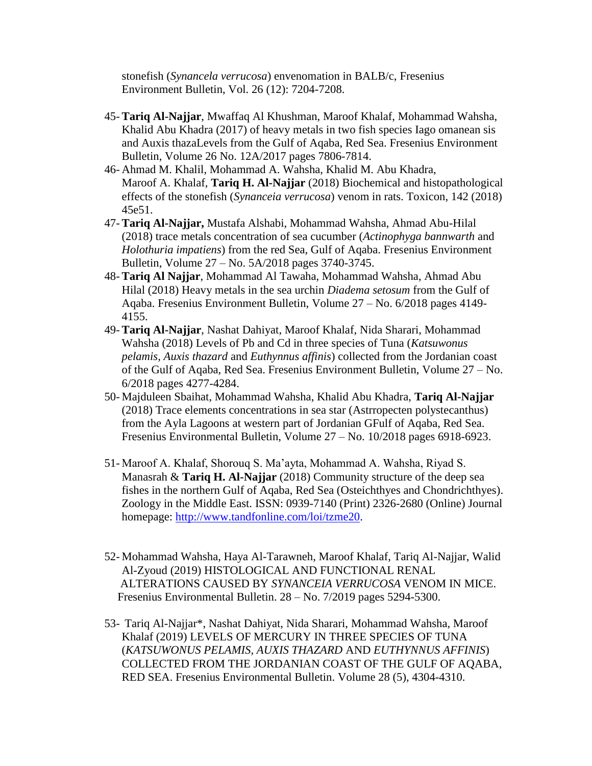stonefish (*Synancela verrucosa*) envenomation in BALB/c, Fresenius Environment Bulletin, Vol. 26 (12): 7204-7208.

- 45- **Tariq Al-Najjar**, Mwaffaq Al Khushman, Maroof Khalaf, Mohammad Wahsha, Khalid Abu Khadra (2017) of heavy metals in two fish species Iago omanean sis and Auxis thazaLevels from the Gulf of Aqaba, Red Sea. Fresenius Environment Bulletin, Volume 26 No. 12A/2017 pages 7806-7814.
- 46- Ahmad M. Khalil, Mohammad A. Wahsha, Khalid M. Abu Khadra, Maroof A. Khalaf, **Tariq H. Al-Najjar** (2018) Biochemical and histopathological effects of the stonefish (*Synanceia verrucosa*) venom in rats. Toxicon, 142 (2018) 45e51.
- 47- **Tariq Al-Najjar,** Mustafa Alshabi, Mohammad Wahsha, Ahmad Abu-Hilal (2018) trace metals concentration of sea cucumber (*Actinophyga bannwarth* and *Holothuria impatiens*) from the red Sea, Gulf of Aqaba. Fresenius Environment Bulletin, Volume 27 – No. 5A/2018 pages 3740-3745.
- 48- **Tariq Al Najjar**, Mohammad Al Tawaha, Mohammad Wahsha, Ahmad Abu Hilal (2018) Heavy metals in the sea urchin *Diadema setosum* from the Gulf of Aqaba. Fresenius Environment Bulletin, Volume 27 – No. 6/2018 pages 4149- 4155.
- 49- **Tariq Al-Najjar**, Nashat Dahiyat, Maroof Khalaf, Nida Sharari, Mohammad Wahsha (2018) Levels of Pb and Cd in three species of Tuna (*Katsuwonus pelamis, Auxis thazard* and *Euthynnus affinis*) collected from the Jordanian coast of the Gulf of Aqaba, Red Sea. Fresenius Environment Bulletin, Volume 27 – No. 6/2018 pages 4277-4284.
- 50- Majduleen Sbaihat, Mohammad Wahsha, Khalid Abu Khadra, **Tariq Al-Najjar** (2018) Trace elements concentrations in sea star (Astrropecten polystecanthus) from the Ayla Lagoons at western part of Jordanian GFulf of Aqaba, Red Sea. Fresenius Environmental Bulletin, Volume 27 – No. 10/2018 pages 6918-6923.
- 51- Maroof A. Khalaf, Shorouq S. Ma'ayta, Mohammad A. Wahsha, Riyad S. Manasrah & **Tariq H. Al-Najjar** (2018) Community structure of the deep sea fishes in the northern Gulf of Aqaba, Red Sea (Osteichthyes and Chondrichthyes). Zoology in the Middle East. ISSN: 0939-7140 (Print) 2326-2680 (Online) Journal homepage: [http://www.tandfonline.com/loi/tzme20.](http://www.tandfonline.com/loi/tzme20)
- 52- Mohammad Wahsha, Haya Al-Tarawneh, Maroof Khalaf, Tariq Al-Najjar, Walid Al-Zyoud (2019) HISTOLOGICAL AND FUNCTIONAL RENAL ALTERATIONS CAUSED BY *SYNANCEIA VERRUCOSA* VENOM IN MICE. Fresenius Environmental Bulletin. 28 – No. 7/2019 pages 5294-5300.
- 53- Tariq Al-Najjar\*, Nashat Dahiyat, Nida Sharari, Mohammad Wahsha, Maroof Khalaf (2019) LEVELS OF MERCURY IN THREE SPECIES OF TUNA (*KATSUWONUS PELAMIS, AUXIS THAZARD* AND *EUTHYNNUS AFFINIS*) COLLECTED FROM THE JORDANIAN COAST OF THE GULF OF AQABA, RED SEA. Fresenius Environmental Bulletin. Volume 28 (5), 4304-4310.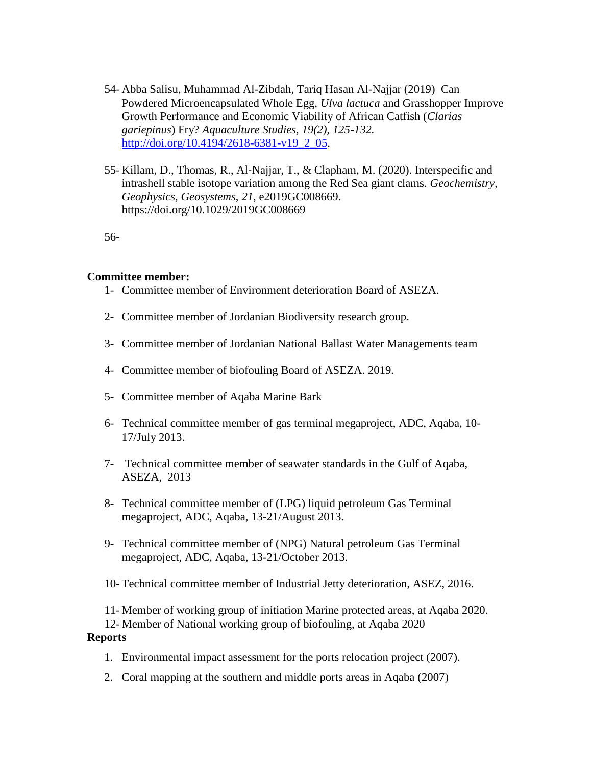- 54- Abba Salisu, Muhammad Al-Zibdah, Tariq Hasan Al-Najjar (2019) Can Powdered Microencapsulated Whole Egg, *Ulva lactuca* and Grasshopper Improve Growth Performance and Economic Viability of African Catfish (*Clarias gariepinus*) Fry? *Aquaculture Studies, 19(2), 125-132.*  [http://doi.org/10.4194/2618-6381-v19\\_2\\_05.](http://doi.org/10.4194/2618-6381-v19_2_05)
- 55- Killam, D., Thomas, R., Al‐Najjar, T., & Clapham, M. (2020). Interspecific and intrashell stable isotope variation among the Red Sea giant clams. *Geochemistry, Geophysics, Geosystems*, *21*, e2019GC008669. https://doi.org/10.1029/2019GC008669

56-

#### **Committee member:**

- 1- Committee member of Environment deterioration Board of ASEZA.
- 2- Committee member of Jordanian Biodiversity research group.
- 3- Committee member of Jordanian National Ballast Water Managements team
- 4- Committee member of biofouling Board of ASEZA. 2019.
- 5- Committee member of Aqaba Marine Bark
- 6- Technical committee member of gas terminal megaproject, ADC, Aqaba, 10- 17/July 2013.
- 7- Technical committee member of seawater standards in the Gulf of Aqaba, ASEZA, 2013
- 8- Technical committee member of (LPG) liquid petroleum Gas Terminal megaproject, ADC, Aqaba, 13-21/August 2013.
- 9- Technical committee member of (NPG) Natural petroleum Gas Terminal megaproject, ADC, Aqaba, 13-21/October 2013.
- 10- Technical committee member of Industrial Jetty deterioration, ASEZ, 2016.

11- Member of working group of initiation Marine protected areas, at Aqaba 2020.

12- Member of National working group of biofouling, at Aqaba 2020

#### **Reports**

- 1. Environmental impact assessment for the ports relocation project (2007).
- 2. Coral mapping at the southern and middle ports areas in Aqaba (2007)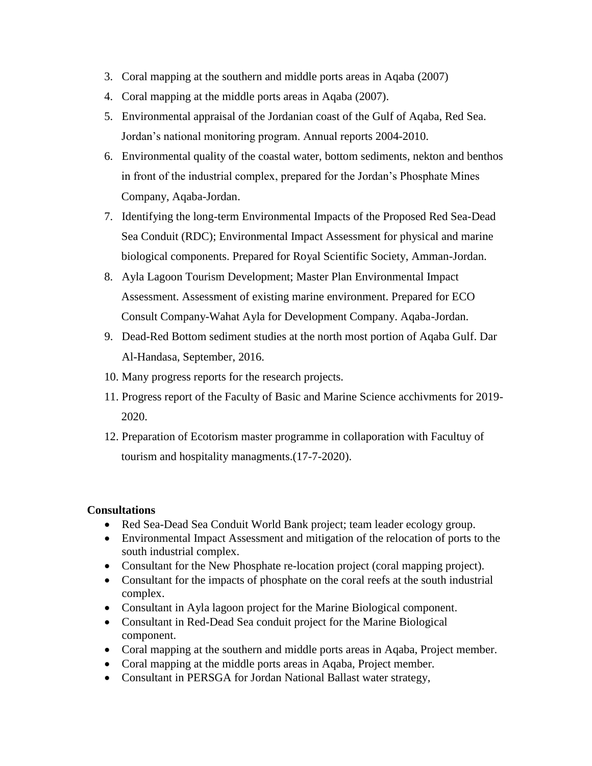- 3. Coral mapping at the southern and middle ports areas in Aqaba (2007)
- 4. Coral mapping at the middle ports areas in Aqaba (2007).
- 5. Environmental appraisal of the Jordanian coast of the Gulf of Aqaba, Red Sea. Jordan's national monitoring program. Annual reports 2004-2010.
- 6. Environmental quality of the coastal water, bottom sediments, nekton and benthos in front of the industrial complex, prepared for the Jordan's Phosphate Mines Company, Aqaba-Jordan.
- 7. Identifying the long-term Environmental Impacts of the Proposed Red Sea-Dead Sea Conduit (RDC); Environmental Impact Assessment for physical and marine biological components. Prepared for Royal Scientific Society, Amman-Jordan.
- 8. Ayla Lagoon Tourism Development; Master Plan Environmental Impact Assessment. Assessment of existing marine environment. Prepared for ECO Consult Company-Wahat Ayla for Development Company. Aqaba-Jordan.
- 9. Dead-Red Bottom sediment studies at the north most portion of Aqaba Gulf. Dar Al-Handasa, September, 2016.
- 10. Many progress reports for the research projects.
- 11. Progress report of the Faculty of Basic and Marine Science acchivments for 2019- 2020.
- 12. Preparation of Ecotorism master programme in collaporation with Facultuy of tourism and hospitality managments.(17-7-2020).

## **Consultations**

- Red Sea-Dead Sea Conduit World Bank project; team leader ecology group.
- Environmental Impact Assessment and mitigation of the relocation of ports to the south industrial complex.
- Consultant for the New Phosphate re-location project (coral mapping project).
- Consultant for the impacts of phosphate on the coral reefs at the south industrial complex.
- Consultant in Ayla lagoon project for the Marine Biological component.
- Consultant in Red-Dead Sea conduit project for the Marine Biological component.
- Coral mapping at the southern and middle ports areas in Aqaba, Project member.
- Coral mapping at the middle ports areas in Aqaba, Project member.
- Consultant in PERSGA for Jordan National Ballast water strategy,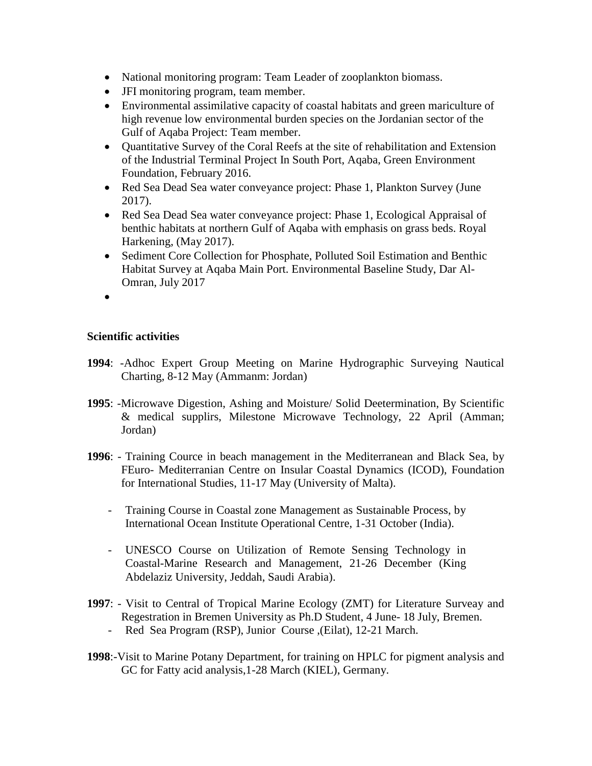- National monitoring program: Team Leader of zooplankton biomass.
- JFI monitoring program, team member.
- Environmental assimilative capacity of coastal habitats and green mariculture of high revenue low environmental burden species on the Jordanian sector of the Gulf of Aqaba Project: Team member.
- Quantitative Survey of the Coral Reefs at the site of rehabilitation and Extension of the Industrial Terminal Project In South Port, Aqaba, Green Environment Foundation, February 2016.
- Red Sea Dead Sea water conveyance project: Phase 1, Plankton Survey (June 2017).
- Red Sea Dead Sea water conveyance project: Phase 1, Ecological Appraisal of benthic habitats at northern Gulf of Aqaba with emphasis on grass beds. Royal Harkening, (May 2017).
- Sediment Core Collection for Phosphate, Polluted Soil Estimation and Benthic Habitat Survey at Aqaba Main Port. Environmental Baseline Study, Dar Al-Omran, July 2017
- $\bullet$

## **Scientific activities**

- **1994**: -Adhoc Expert Group Meeting on Marine Hydrographic Surveying Nautical Charting, 8-12 May (Ammanm: Jordan)
- **1995**: -Microwave Digestion, Ashing and Moisture/ Solid Deetermination, By Scientific & medical supplirs, Milestone Microwave Technology, 22 April (Amman; Jordan)
- **1996**: Training Cource in beach management in the Mediterranean and Black Sea, by FEuro- Mediterranian Centre on Insular Coastal Dynamics (ICOD), Foundation for International Studies, 11-17 May (University of Malta).
	- Training Course in Coastal zone Management as Sustainable Process, by International Ocean Institute Operational Centre, 1-31 October (India).
	- UNESCO Course on Utilization of Remote Sensing Technology in Coastal-Marine Research and Management, 21-26 December (King Abdelaziz University, Jeddah, Saudi Arabia).
- **1997**: Visit to Central of Tropical Marine Ecology (ZMT) for Literature Surveay and Regestration in Bremen University as Ph.D Student, 4 June- 18 July, Bremen.
	- Red Sea Program (RSP), Junior Course ,(Eilat), 12-21 March.
- **1998**:-Visit to Marine Potany Department, for training on HPLC for pigment analysis and GC for Fatty acid analysis,1-28 March (KIEL), Germany.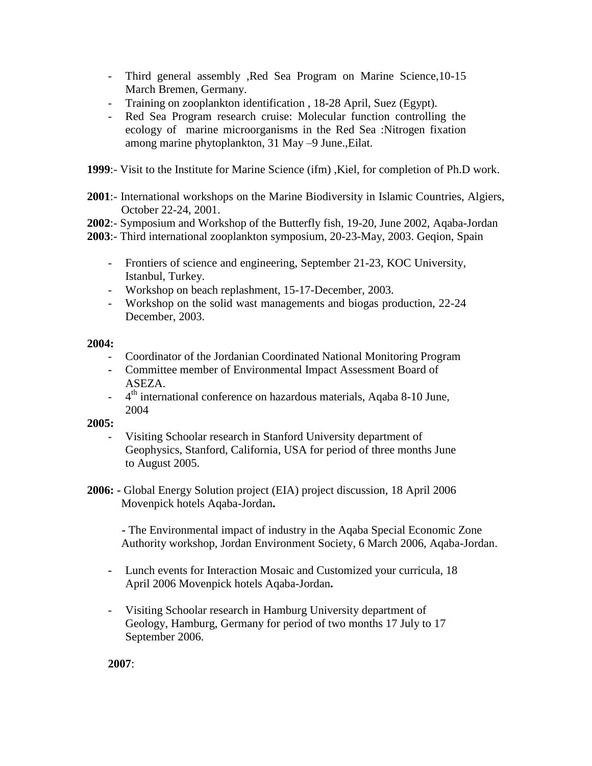- Third general assembly ,Red Sea Program on Marine Science,10-15 March Bremen, Germany.
- Training on zooplankton identification , 18-28 April, Suez (Egypt).
- Red Sea Program research cruise: Molecular function controlling the ecology of marine microorganisms in the Red Sea :Nitrogen fixation among marine phytoplankton, 31 May –9 June.,Eilat.
- **1999**:- Visit to the Institute for Marine Science (ifm) ,Kiel, for completion of Ph.D work.
- **2001**:- International workshops on the Marine Biodiversity in Islamic Countries, Algiers, October 22-24, 2001.
- **2002**:- Symposium and Workshop of the Butterfly fish, 19-20, June 2002, Aqaba-Jordan
- **2003**:- Third international zooplankton symposium, 20-23-May, 2003. Geqion, Spain
	- Frontiers of science and engineering, September 21-23, KOC University, Istanbul, Turkey.
	- Workshop on beach replashment, 15-17-December, 2003.
	- Workshop on the solid wast managements and biogas production, 22-24 December, 2003.

## **2004:**

- Coordinator of the Jordanian Coordinated National Monitoring Program
- **-** Committee member of Environmental Impact Assessment Board of ASEZA.
- <sup>th</sup> international conference on hazardous materials, Aqaba 8-10 June, 2004

## **2005:**

- Visiting Schoolar research in Stanford University department of Geophysics, Stanford, California, USA for period of three months June to August 2005.
- **2006: -** Global Energy Solution project (EIA) project discussion, 18 April 2006 Movenpick hotels Aqaba-Jordan**.**

 **-** The Environmental impact of industry in the Aqaba Special Economic Zone Authority workshop, Jordan Environment Society, 6 March 2006, Aqaba-Jordan.

- **-** Lunch events for Interaction Mosaic and Customized your curricula, 18 April 2006 Movenpick hotels Aqaba-Jordan**.**
- Visiting Schoolar research in Hamburg University department of Geology, Hamburg, Germany for period of two months 17 July to 17 September 2006.

**2007**: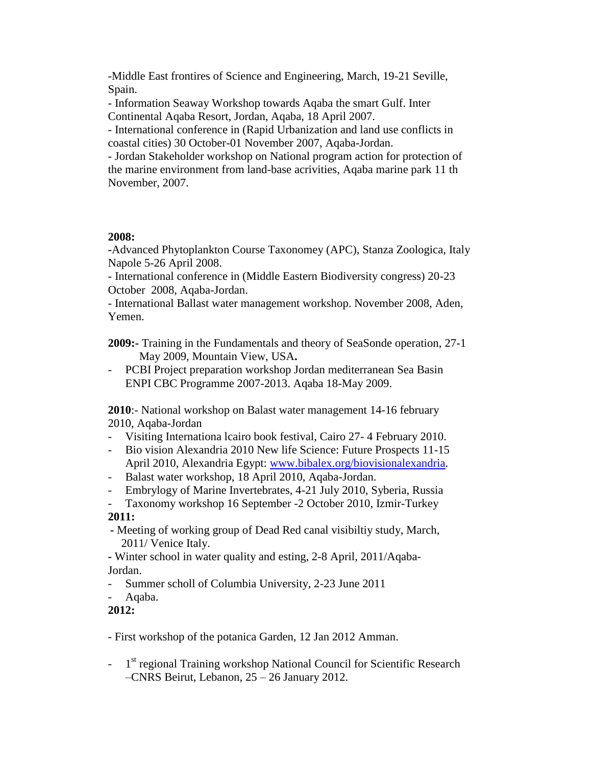-Middle East frontires of Science and Engineering, March, 19-21 Seville, Spain.

- Information Seaway Workshop towards Aqaba the smart Gulf. Inter Continental Aqaba Resort, Jordan, Aqaba, 18 April 2007.

- International conference in (Rapid Urbanization and land use conflicts in coastal cities) 30 October-01 November 2007, Aqaba-Jordan.

- Jordan Stakeholder workshop on National program action for protection of the marine environment from land-base acrivities, Aqaba marine park 11 th November, 2007.

## **2008:**

**-**Advanced Phytoplankton Course Taxonomey (APC), Stanza Zoologica, Italy Napole 5-26 April 2008.

- International conference in (Middle Eastern Biodiversity congress) 20-23 October 2008, Aqaba-Jordan.

- International Ballast water management workshop. November 2008, Aden, Yemen.

**2009:-** Training in the Fundamentals and theory of SeaSonde operation, 27-1 May 2009, Mountain View, USA**.**

- PCBI Project preparation workshop Jordan mediterranean Sea Basin ENPI CBC Programme 2007-2013. Aqaba 18-May 2009.

**2010**:- National workshop on Balast water management 14-16 february 2010, Aqaba-Jordan

- Visiting Internationa lcairo book festival, Cairo 27- 4 February 2010.
- Bio vision Alexandria 2010 New life Science: Future Prospects 11-15 April 2010, Alexandria Egypt: [www.bibalex.org/biovisionalexandria.](http://www.bibalex.org/biovisionalexandria)
- Balast water workshop, 18 April 2010, Aqaba-Jordan.
- Embrylogy of Marine Invertebrates, 4-21 July 2010, Syberia, Russia
- Taxonomy workshop 16 September -2 October 2010, Izmir-Turkey

**2011:**

 **-** Meeting of working group of Dead Red canal visibiltiy study, March, 2011/ Venice Italy.

**-** Winter school in water quality and esting, 2-8 April, 2011/Aqaba-Jordan.

- Summer scholl of Columbia University, 2-23 June 2011
- Aqaba.

## **2012:**

- First workshop of the potanica Garden, 12 Jan 2012 Amman.

- 1<sup>st</sup> regional Training workshop National Council for Scientific Research –CNRS Beirut, Lebanon, 25 – 26 January 2012.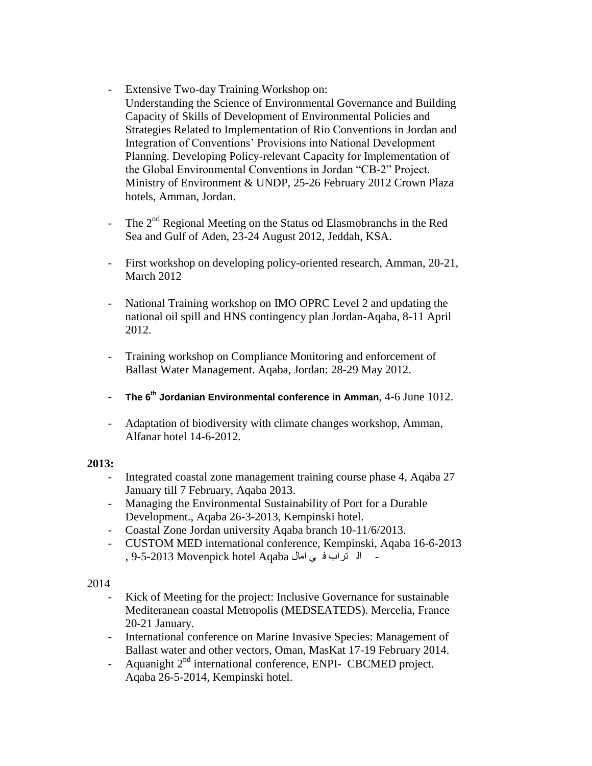- Extensive Two-day Training Workshop on: Understanding the Science of Environmental Governance and Building Capacity of Skills of Development of Environmental Policies and Strategies Related to Implementation of Rio Conventions in Jordan and Integration of Conventions' Provisions into National Development Planning. Developing Policy-relevant Capacity for Implementation of the Global Environmental Conventions in Jordan "CB-2" Project. Ministry of Environment & UNDP, 25-26 February 2012 Crown Plaza hotels, Amman, Jordan.
- The  $2<sup>nd</sup>$  Regional Meeting on the Status od Elasmobranchs in the Red Sea and Gulf of Aden, 23-24 August 2012, Jeddah, KSA.
- First workshop on developing policy-oriented research, Amman, 20-21, March 2012
- National Training workshop on IMO OPRC Level 2 and updating the national oil spill and HNS contingency plan Jordan-Aqaba, 8-11 April 2012.
- Training workshop on Compliance Monitoring and enforcement of Ballast Water Management. Aqaba, Jordan: 28-29 May 2012.
- **The 6th Jordanian Environmental conference in Amman**, 4-6 June 1012.
- Adaptation of biodiversity with climate changes workshop, Amman, Alfanar hotel 14-6-2012.

## **2013:**

- Integrated coastal zone management training course phase 4, Aqaba 27 January till 7 February, Aqaba 2013.
- Managing the Environmental Sustainability of Port for a Durable Development., Aqaba 26-3-2013, Kempinski hotel.
- Coastal Zone Jordan university Aqaba branch 10-11/6/2013.
- CUSTOM MED international conference, Kempinski, Aqaba 16-6-2013 - ال تراب ف ي امال Aqaba hotel Movenpick 9-5-2013 ,

## 2014

- Kick of Meeting for the project: Inclusive Governance for sustainable Mediteranean coastal Metropolis (MEDSEATEDS). Mercelia, France 20-21 January.
- International conference on Marine Invasive Species: Management of Ballast water and other vectors, Oman, MasKat 17-19 February 2014.
- Aquanight 2<sup>nd</sup> international conference, ENPI- CBCMED project. Aqaba 26-5-2014, Kempinski hotel.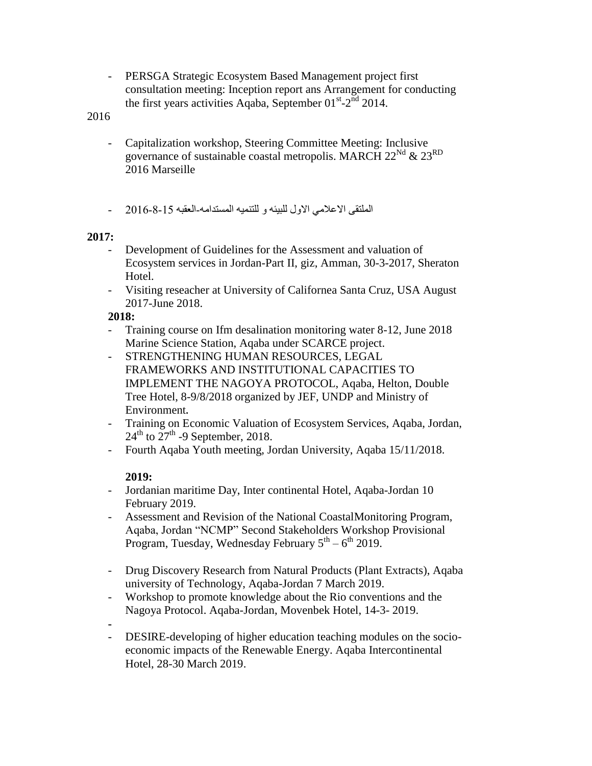- PERSGA Strategic Ecosystem Based Management project first consultation meeting: Inception report ans Arrangement for conducting the first years activities Aqaba, September  $01<sup>st</sup> - 2<sup>nd</sup>$  2014.

2016

- Capitalization workshop, Steering Committee Meeting: Inclusive governance of sustainable coastal metropolis. MARCH  $22<sup>Nd</sup> \& 23<sup>RD</sup>$ 2016 Marseille
- الملتقى الإعلامي الاول للبيئه و للتنميه المستدامه-العقبه 15-8-2016

## **2017:**

- Development of Guidelines for the Assessment and valuation of Ecosystem services in Jordan-Part II, giz, Amman, 30-3-2017, Sheraton Hotel.
- Visiting reseacher at University of Californea Santa Cruz, USA August 2017-June 2018.

## **2018:**

- Training course on Ifm desalination monitoring water 8-12, June 2018 Marine Science Station, Aqaba under SCARCE project.
- STRENGTHENING HUMAN RESOURCES, LEGAL FRAMEWORKS AND INSTITUTIONAL CAPACITIES TO IMPLEMENT THE NAGOYA PROTOCOL, Aqaba, Helton, Double Tree Hotel, 8-9/8/2018 organized by JEF, UNDP and Ministry of Environment**.**
- Training on Economic Valuation of Ecosystem Services, Aqaba, Jordan,  $24^{\text{th}}$  to  $27^{\text{th}}$  -9 September, 2018.
- Fourth Aqaba Youth meeting, Jordan University, Aqaba 15/11/2018.

#### **2019:**

- Jordanian maritime Day, Inter continental Hotel, Aqaba-Jordan 10 February 2019.
- Assessment and Revision of the National CoastalMonitoring Program, Aqaba, Jordan "NCMP" Second Stakeholders Workshop Provisional Program, Tuesday, Wednesday February  $5<sup>th</sup> - 6<sup>th</sup>$  2019.
- Drug Discovery Research from Natural Products (Plant Extracts), Aqaba university of Technology, Aqaba-Jordan 7 March 2019.
- Workshop to promote knowledge about the Rio conventions and the Nagoya Protocol. Aqaba-Jordan, Movenbek Hotel, 14-3- 2019.
- **-** - DESIRE-developing of higher education teaching modules on the socioeconomic impacts of the Renewable Energy. Aqaba Intercontinental Hotel, 28-30 March 2019.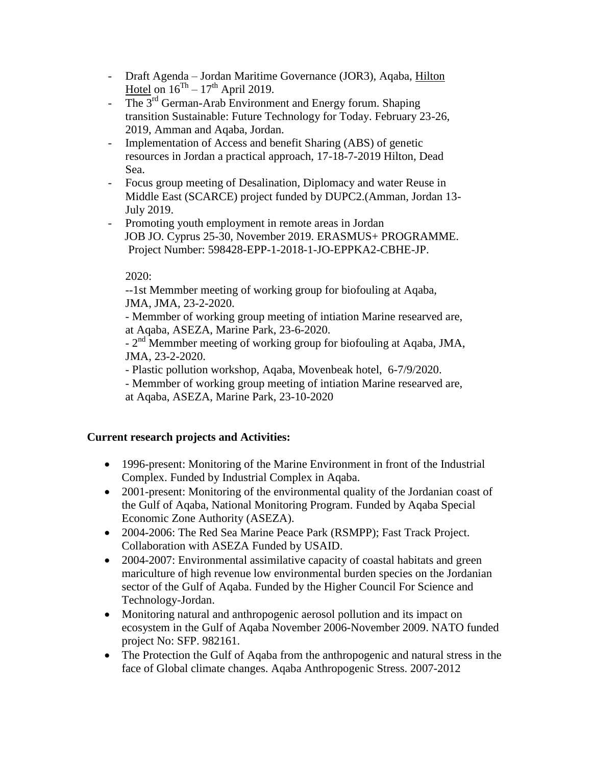- Draft Agenda Jordan Maritime Governance (JOR3), Aqaba, Hilton Hotel on  $16^{Th} - 17^{th}$  April 2019.
- The  $3<sup>rd</sup>$  German-Arab Environment and Energy forum. Shaping transition Sustainable: Future Technology for Today. February 23-26, 2019, Amman and Aqaba, Jordan.
- Implementation of Access and benefit Sharing (ABS) of genetic resources in Jordan a practical approach, 17-18-7-2019 Hilton, Dead Sea.
- Focus group meeting of Desalination, Diplomacy and water Reuse in Middle East (SCARCE) project funded by DUPC2.(Amman, Jordan 13- July 2019.
- Promoting youth employment in remote areas in Jordan JOB JO. Cyprus 25-30, November 2019. ERASMUS+ PROGRAMME. Project Number: 598428-EPP-1-2018-1-JO-EPPKA2-CBHE-JP.

## 2020:

--1st Memmber meeting of working group for biofouling at Aqaba, JMA, JMA, 23-2-2020.

- Memmber of working group meeting of intiation Marine researved are, at Aqaba, ASEZA, Marine Park, 23-6-2020.

- 2<sup>nd</sup> Memmber meeting of working group for biofouling at Aqaba, JMA, JMA, 23-2-2020.

- Plastic pollution workshop, Aqaba, Movenbeak hotel, 6-7/9/2020.

- Memmber of working group meeting of intiation Marine researved are, at Aqaba, ASEZA, Marine Park, 23-10-2020

## **Current research projects and Activities:**

- 1996-present: Monitoring of the Marine Environment in front of the Industrial Complex. Funded by Industrial Complex in Aqaba.
- 2001-present: Monitoring of the environmental quality of the Jordanian coast of the Gulf of Aqaba, National Monitoring Program. Funded by Aqaba Special Economic Zone Authority (ASEZA).
- 2004-2006: The Red Sea Marine Peace Park (RSMPP); Fast Track Project. Collaboration with ASEZA Funded by USAID.
- 2004-2007: Environmental assimilative capacity of coastal habitats and green mariculture of high revenue low environmental burden species on the Jordanian sector of the Gulf of Aqaba. Funded by the Higher Council For Science and Technology-Jordan.
- Monitoring natural and anthropogenic aerosol pollution and its impact on ecosystem in the Gulf of Aqaba November 2006-November 2009. NATO funded project No: SFP. 982161.
- The Protection the Gulf of Aqaba from the anthropogenic and natural stress in the face of Global climate changes. Aqaba Anthropogenic Stress. 2007-2012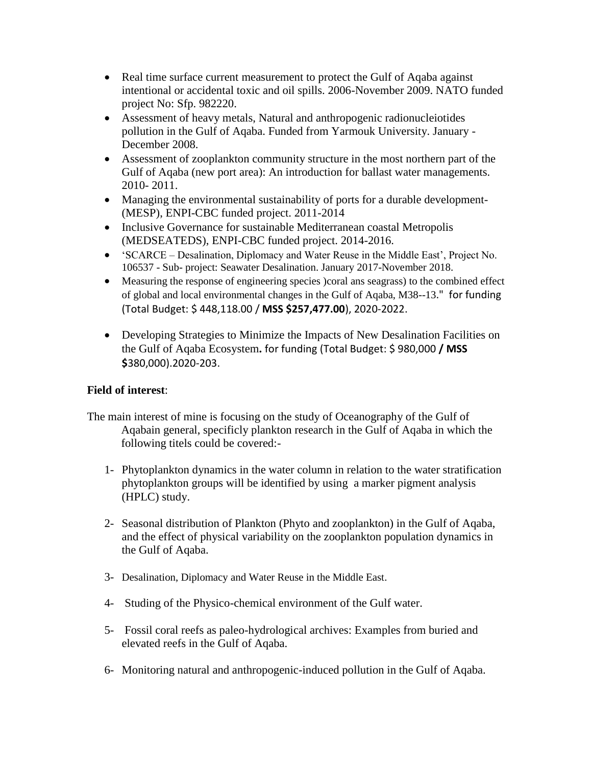- Real time surface current measurement to protect the Gulf of Aqaba against intentional or accidental toxic and oil spills. 2006-November 2009. NATO funded project No: Sfp. 982220.
- Assessment of heavy metals, Natural and anthropogenic radionucleiotides pollution in the Gulf of Aqaba. Funded from Yarmouk University. January - December 2008.
- Assessment of zooplankton community structure in the most northern part of the Gulf of Aqaba (new port area): An introduction for ballast water managements. 2010- 2011.
- Managing the environmental sustainability of ports for a durable development- (MESP), ENPI-CBC funded project. 2011-2014
- Inclusive Governance for sustainable Mediterranean coastal Metropolis (MEDSEATEDS), ENPI-CBC funded project. 2014-2016.
- 'SCARCE Desalination, Diplomacy and Water Reuse in the Middle East', Project No. 106537 - Sub- project: Seawater Desalination. January 2017-November 2018.
- Measuring the response of engineering species )coral ans seagrass) to the combined effect of global and local environmental changes in the Gulf of Aqaba, M38--13." for funding (Total Budget: \$ 448,118.00 / **MSS \$257,477.00**), 2020-2022.
- Developing Strategies to Minimize the Impacts of New Desalination Facilities on the Gulf of Aqaba Ecosystem**.** for funding (Total Budget: \$ 980,000 **/ MSS \$**380,000).2020-203.

## **Field of interest**:

- The main interest of mine is focusing on the study of Oceanography of the Gulf of Aqabain general, specificly plankton research in the Gulf of Aqaba in which the following titels could be covered:-
	- 1- Phytoplankton dynamics in the water column in relation to the water stratification phytoplankton groups will be identified by using a marker pigment analysis (HPLC) study.
	- 2- Seasonal distribution of Plankton (Phyto and zooplankton) in the Gulf of Aqaba, and the effect of physical variability on the zooplankton population dynamics in the Gulf of Aqaba.
	- 3- Desalination, Diplomacy and Water Reuse in the Middle East.
	- 4- Studing of the Physico-chemical environment of the Gulf water.
	- 5- Fossil coral reefs as paleo-hydrological archives: Examples from buried and elevated reefs in the Gulf of Aqaba.
	- 6- Monitoring natural and anthropogenic-induced pollution in the Gulf of Aqaba.